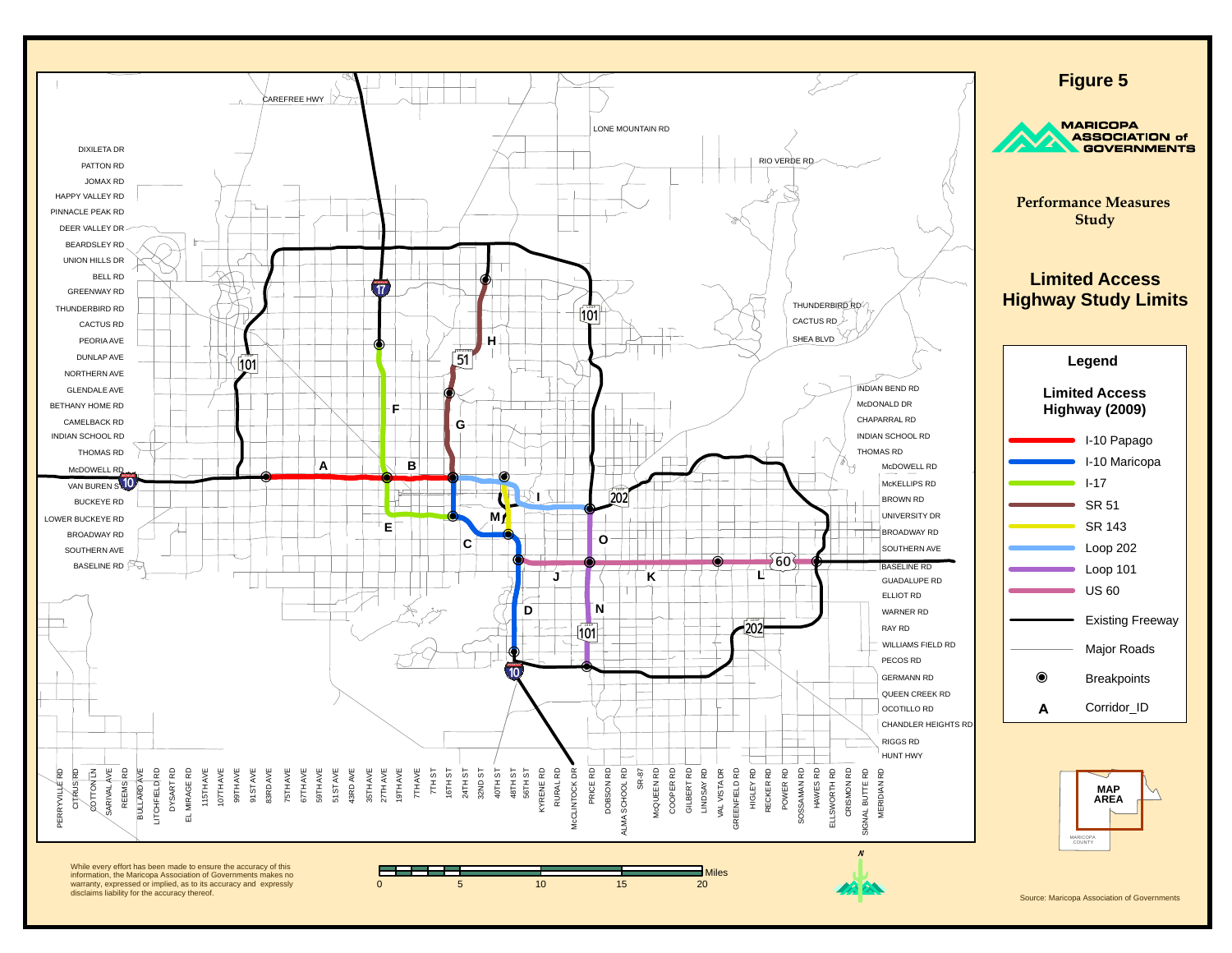